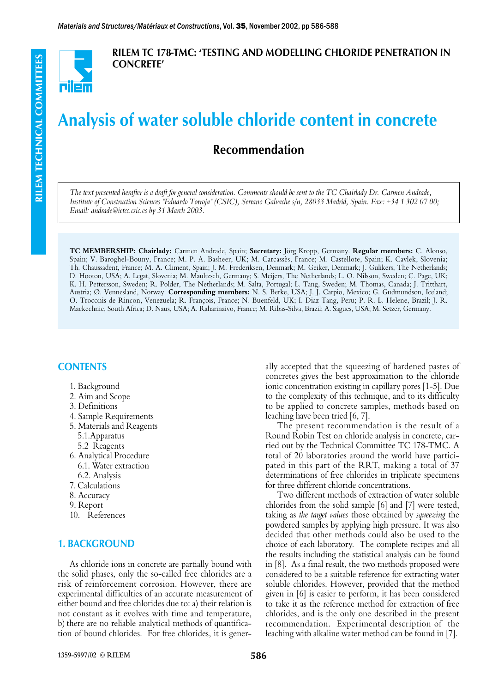

RILEM TC 178-TMC: 'TESTING AND MODELLING CHLORIDE PENETRATION IN CONCRETE'

# Analysis of water soluble chloride content in concrete

# Recommendation

*The text presented herafter is a draft for general consideration. Comments should be sent to the TC Chairlady Dr. Carmen Andrade, Institute of Construction Sciences "Eduardo Torroja" (CSIC), Serrano Galvache s/n, 28033 Madrid, Spain. Fax: +34 1 302 07 00; Email: andrade@ietcc.csic.es by 31 March 2003.*

**TC MEMBERSHIP: Chairlady:** Carmen Andrade, Spain; **Secretary:** Jörg Kropp, Germany. **Regular members:** C. Alonso, Spain; V. Baroghel-Bouny, France; M. P. A. Basheer, UK; M. Carcassès, France; M. Castellote, Spain; K. Cavlek, Slovenia; Th. Chaussadent, France; M. A. Climent, Spain; J. M. Frederiksen, Denmark; M. Geiker, Denmark; J. Gulikers, The Netherlands; D. Hooton, USA; A. Legat, Slovenia; M. Maultzsch, Germany; S. Meijers, The Netherlands; L. O. Nilsson, Sweden; C. Page, UK; K. H. Pettersson, Sweden; R. Polder, The Netherlands; M. Salta, Portugal; L. Tang, Sweden; M. Thomas, Canada; J. Tritthart, Austria; Ø. Vennesland, Norway. **Corresponding members:** N. S. Berke, USA; J. J. Carpio, Mexico; G. Gudmundson, Iceland; O. Troconis de Rincon, Venezuela; R. François, France; N. Buenfeld, UK; I. Diaz Tang, Peru; P. R. L. Helene, Brazil; J. R. Mackechnie, South Africa; D. Naus, USA; A. Raharinaivo, France; M. Ribas-Silva, Brazil; A. Sagues, USA; M. Setzer, Germany.

# **CONTENTS**

- 1. Background
- 2. Aim and Scope
- 3. Definitions
- 4. Sample Requirements
- 5. Materials and Reagents
- 5.1.Apparatus
- 5.2 Reagents
- 6. Analytical Procedure
- 6.1. Water extraction
- 6.2. Analysis
- 7. Calculations
- 8. Accuracy
- 9. Report
- 10. References

# 1. BACKGROUND

As chloride ions in concrete are partially bound with the solid phases, only the so-called free chlorides are a risk of reinforcement corrosion. However, there are experimental difficulties of an accurate measurement of either bound and free chlorides due to: a) their relation is not constant as it evolves with time and temperature, b) there are no reliable analytical methods of quantification of bound chlorides. For free chlorides, it is generally accepted that the squeezing of hardened pastes of concretes gives the best approximation to the chloride ionic concentration existing in capillary pores [1-5]. Due to the complexity of this technique, and to its difficulty to be applied to concrete samples, methods based on leaching have been tried [6, 7].

The present recommendation is the result of a Round Robin Test on chloride analysis in concrete, carried out by the Technical Committee TC 178-TMC. A total of 20 laboratories around the world have participated in this part of the RRT, making a total of 37 determinations of free chlorides in triplicate specimens for three different chloride concentrations.

Two different methods of extraction of water soluble chlorides from the solid sample [6] and [7] were tested, taking as *the target values* those obtained by *squeezing* the powdered samples by applying high pressure. It was also decided that other methods could also be used to the choice of each laboratory. The complete recipes and all the results including the statistical analysis can be found in [8]. As a final result, the two methods proposed were considered to be a suitable reference for extracting water soluble chlorides. However, provided that the method given in [6] is easier to perform, it has been considered to take it as the reference method for extraction of free chlorides, and is the only one described in the present recommendation. Experimental description of the leaching with alkaline water method can be found in [7].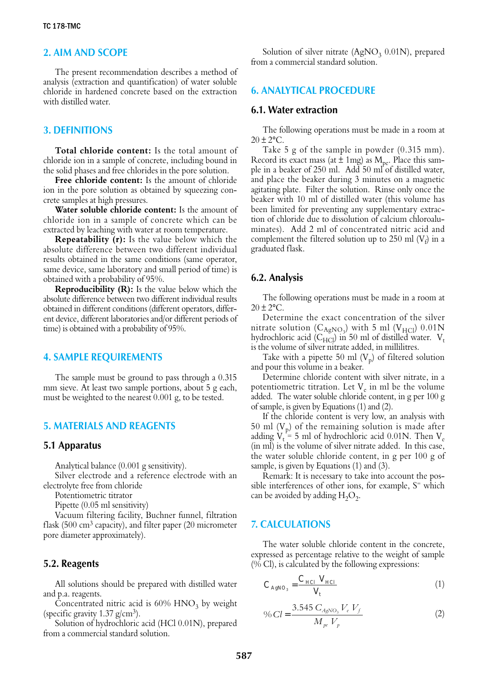#### 2. AIM AND SCOPE

The present recommendation describes a method of analysis (extraction and quantification) of water soluble chloride in hardened concrete based on the extraction with distilled water.

# 3. DEFINITIONS

**Total chloride content:** Is the total amount of chloride ion in a sample of concrete, including bound in the solid phases and free chlorides in the pore solution.

**Free chloride content:** Is the amount of chloride ion in the pore solution as obtained by squeezing concrete samples at high pressures.

**Water soluble chloride content:** Is the amount of chloride ion in a sample of concrete which can be extracted by leaching with water at room temperature.

**Repeatability (r):** Is the value below which the absolute difference between two different individual results obtained in the same conditions (same operator, same device, same laboratory and small period of time) is obtained with a probability of 95%.

**Reproducibility (R):** Is the value below which the absolute difference between two different individual results obtained in different conditions (different operators, different device, different laboratories and/or different periods of time) is obtained with a probability of 95%.

#### 4. SAMPLE REQUIREMENTS

The sample must be ground to pass through a 0.315 mm sieve. At least two sample portions, about 5 g each, must be weighted to the nearest 0.001 g, to be tested.

# 5. MATERIALS AND REAGENTS

#### 5.1 Apparatus

Analytical balance (0.001 g sensitivity).

Silver electrode and a reference electrode with an electrolyte free from chloride

Potentiometric titrator

Pipette (0.05 ml sensitivity)

Vacuum filtering facility, Buchner funnel, filtration flask (500 cm<sup>3</sup> capacity), and filter paper (20 micrometer pore diameter approximately).

#### 5.2. Reagents

All solutions should be prepared with distilled water and p.a. reagents.

Concentrated nitric acid is  $60\%$  HNO<sub>3</sub> by weight (specific gravity  $1.37$  g/cm<sup>3</sup>).

Solution of hydrochloric acid (HCl 0.01N), prepared from a commercial standard solution.

Solution of silver nitrate  $(AgNO<sub>3</sub> 0.01N)$ , prepared from a commercial standard solution.

#### 6. ANALYTICAL PROCEDURE

#### 6.1. Water extraction

The following operations must be made in a room at  $20 \pm 2$ °C.

Take 5 g of the sample in powder (0.315 mm). Record its exact mass (at  $\pm$  1mg) as  $M_{\text{ne}}$ . Place this sample in a beaker of  $250$  ml. Add  $50$  ml of distilled water, and place the beaker during 3 minutes on a magnetic agitating plate. Filter the solution. Rinse only once the beaker with 10 ml of distilled water (this volume has been limited for preventing any supplementary extraction of chloride due to dissolution of calcium chloroaluminates). Add 2 ml of concentrated nitric acid and complement the filtered solution up to 250 ml  $(V_f)$  in a graduated flask.

#### 6.2. Analysis

The following operations must be made in a room at  $20 \pm 2$ °C.

Determine the exact concentration of the silver mitrate solution  $(C_{AgNO_3})$  with 5 ml (V<sub>HCl</sub>) 0.01N hydrochloric acid ( $C_{\text{HC}}$ ) in 50 ml of distilled water.  $V_t$ is the volume of silver nitrate added, in millilitres.

Take with a pipette 50 ml  $(V_p)$  of filtered solution and pour this volume in a beaker.

Determine chloride content with silver nitrate, in a potentiometric titration. Let  $V_e$  in ml be the volume added. The water soluble chloride content, in g per 100 g of sample, is given by Equations (1) and (2).

If the chloride content is very low, an analysis with 50 ml  $(V_p)$  of the remaining solution is made after adding  $V_t = 5$  ml of hydrochloric acid 0.01N. Then  $V_e$ (in ml) is the volume of silver nitrate added. In this case, the water soluble chloride content, in g per 100 g of sample, is given by Equations (1) and (3).

Remark: It is necessary to take into account the possible interferences of other ions, for example,  $S^=$  which can be avoided by adding  $H_2O_2$ .

#### 7. CALCULATIONS

The water soluble chloride content in the concrete, expressed as percentage relative to the weight of sample  $(\sqrt{6} \text{ Cl})$ , is calculated by the following expressions:

$$
C_{AgNO_3} = \frac{C_{HCl} V_{HCl}}{V_t}
$$
 (1)

$$
\% \, Cl = \frac{3.545 \, C_{AgNO_3} \, V_e \, V_f}{M_{pe} \, V_p} \tag{2}
$$